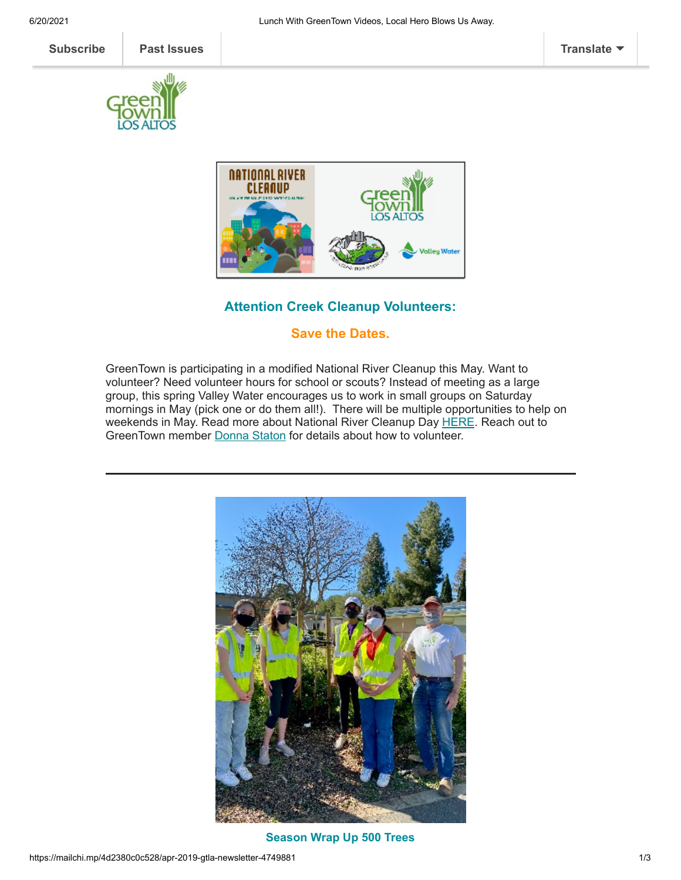



# **Attention Creek Cleanup Volunteers:**

## **Save the Dates.**

GreenTown is participating in a modified National River Cleanup this May. Want to volunteer? Need volunteer hours for school or scouts? Instead of meeting as a large group, this spring Valley Water encourages us to work in small groups on Saturday mornings in May (pick one or do them all!). There will be multiple opportunities to help on weekends in May. Read more about National River Cleanup Day [HERE.](https://cleanacreek.org/upcoming-events/) Reach out to GreenTown member [Donna](mailto:donna@greentownlosaltos.org?subject=Creek%20Cleanup) Staton for details about how to volunteer.



**Season Wrap Up 500 Trees**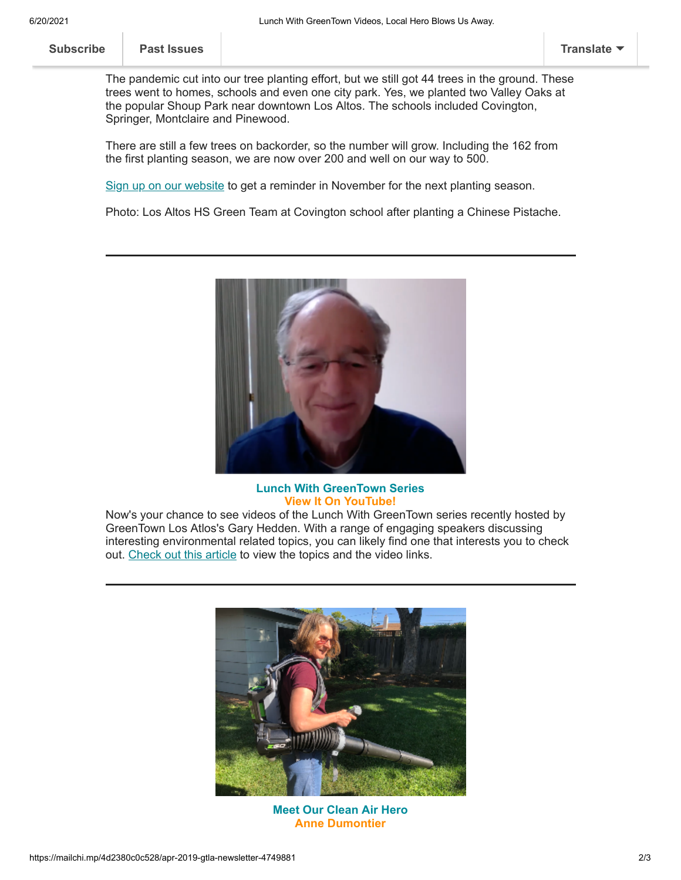| <b>Subscribe</b> | <b>Past Issues</b> | <b>Translate</b> |
|------------------|--------------------|------------------|
|                  |                    |                  |

The pandemic cut into our tree planting effort, but we still got 44 trees in the ground. These trees went to homes, schools and even one city park. Yes, we planted two Valley Oaks at the popular Shoup Park near downtown Los Altos. The schools included Covington, Springer, Montclaire and Pinewood.

There are still a few trees on backorder, so the number will grow. Including the 162 from the first planting season, we are now over 200 and well on our way to 500.

[Sign up on our website](https://www.greentownlosaltos.org/500-trees) to get a reminder in November for the next planting season.

Photo: Los Altos HS Green Team at Covington school after planting a Chinese Pistache.



### **Lunch With GreenTown Series View It On YouTube!**

Now's your chance to see videos of the Lunch With GreenTown series recently hosted by GreenTown Los Atlos's Gary Hedden. With a range of engaging speakers discussing interesting environmental related topics, you can likely find one that interests you to check out. [Check out this article](https://www.greentownlosaltos.org/post/the-lunch-with-greentown-talks-videos-are-here) to view the topics and the video links.



**Meet Our Clean Air Hero Anne Dumontier**